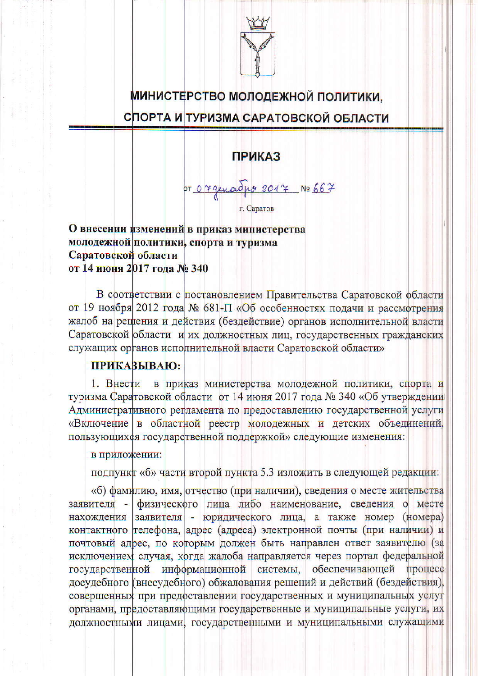

## МИНИСТЕРСТВО МОЛОДЕЖНОЙ ПОЛИТИКИ.

## СПОРТА И ТУРИЗМА САРАТОВСКОЙ ОБЛАСТИ

## **ПРИКАЗ**

07 07 generalise 2017 No 667

О внесении изменений в приказ министерства молодежной политики, спорта и туризма Саратовской области от 14 июня 2017 года № 340

В соответствии с постановлением Правительства Саратовской области от 19 ноября 2012 года № 681-П «Об особенностях подачи и рассмотрения жалоб на рецения и действия (бездействие) органов исполнительной власти Саратовской области и их должностных лиц, государственных гражданских служащих органов исполнительной власти Саратовской области»

## **ПРИКАЗЫВАЮ:**

1. Внести в приказ министерства молодежной политики, спорта и туризма Саратовской области от 14 июня 2017 года № 340 «Об утверждении Административного регламента по предоставлению государственной услуги «Включение в областной реестр молодежных и детских объединений, пользующих ся государственной поддержкой» следующие изменения:

в приложении:

подпункт «б» части второй пункта 5.3 изложить в следующей редакции:

«б) фамилию, имя, отчество (при наличии), сведения о месте жительства заявителя - физического лица либо наименование, сведения о месте нахождения заявителя - юридического лица, а также номер (номера) контактного телефона, адрес (адреса) электронной почты (при наличии) и почтовый адрес, по которым должен быть направлен ответ заявителю (за исключением случая, когда жалоба направляется через портал федеральной государственной информационной системы, обеспечивающей процесс досудебного (внесудебного) обжалования решений и действий (бездействия), совершенных при предоставлении государственных и муниципальных услуг органами, предоставляющими государственные и муниципальные услуги, их должностными лицами, государственными и муниципальными служащими